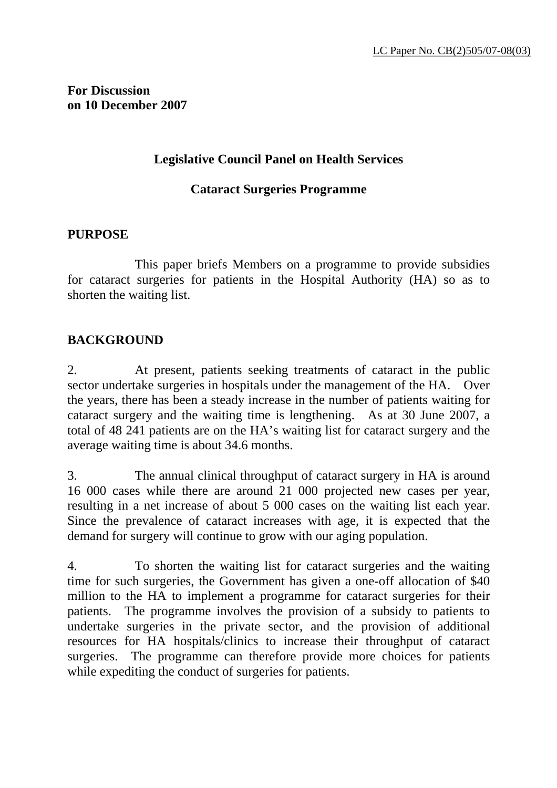**For Discussion on 10 December 2007** 

#### **Legislative Council Panel on Health Services**

#### **Cataract Surgeries Programme**

#### **PURPOSE**

 This paper briefs Members on a programme to provide subsidies for cataract surgeries for patients in the Hospital Authority (HA) so as to shorten the waiting list.

### **BACKGROUND**

2. At present, patients seeking treatments of cataract in the public sector undertake surgeries in hospitals under the management of the HA. Over the years, there has been a steady increase in the number of patients waiting for cataract surgery and the waiting time is lengthening. As at 30 June 2007, a total of 48 241 patients are on the HA's waiting list for cataract surgery and the average waiting time is about 34.6 months.

3. The annual clinical throughput of cataract surgery in HA is around 16 000 cases while there are around 21 000 projected new cases per year, resulting in a net increase of about 5 000 cases on the waiting list each year. Since the prevalence of cataract increases with age, it is expected that the demand for surgery will continue to grow with our aging population.

4. To shorten the waiting list for cataract surgeries and the waiting time for such surgeries, the Government has given a one-off allocation of \$40 million to the HA to implement a programme for cataract surgeries for their patients. The programme involves the provision of a subsidy to patients to undertake surgeries in the private sector, and the provision of additional resources for HA hospitals/clinics to increase their throughput of cataract surgeries. The programme can therefore provide more choices for patients while expediting the conduct of surgeries for patients.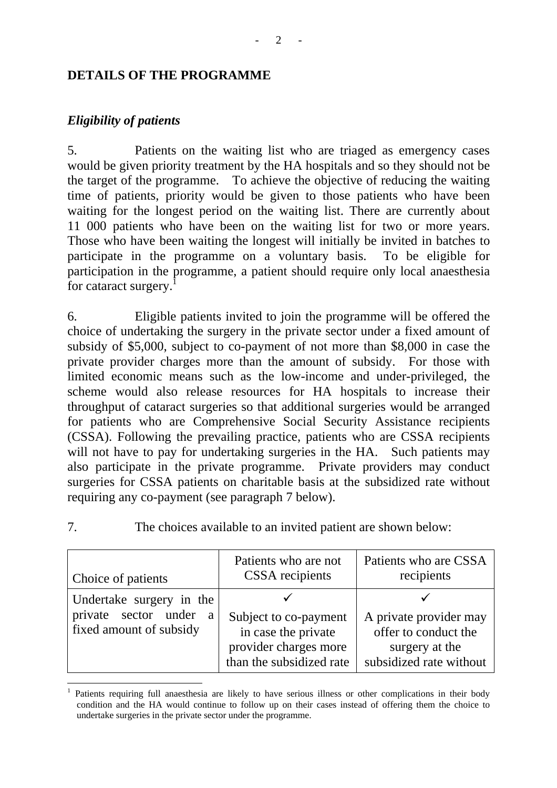#### **DETAILS OF THE PROGRAMME**

## *Eligibility of patients*

5. Patients on the waiting list who are triaged as emergency cases would be given priority treatment by the HA hospitals and so they should not be the target of the programme. To achieve the objective of reducing the waiting time of patients, priority would be given to those patients who have been waiting for the longest period on the waiting list. There are currently about 11 000 patients who have been on the waiting list for two or more years. Those who have been waiting the longest will initially be invited in batches to participate in the programme on a voluntary basis. To be eligible for participation in the programme, a patient should require only local anaesthesia for cataract surgery.<sup>1</sup>

6. Eligible patients invited to join the programme will be offered the choice of undertaking the surgery in the private sector under a fixed amount of subsidy of \$5,000, subject to co-payment of not more than \$8,000 in case the private provider charges more than the amount of subsidy. For those with limited economic means such as the low-income and under-privileged, the scheme would also release resources for HA hospitals to increase their throughput of cataract surgeries so that additional surgeries would be arranged for patients who are Comprehensive Social Security Assistance recipients (CSSA). Following the prevailing practice, patients who are CSSA recipients will not have to pay for undertaking surgeries in the HA. Such patients may also participate in the private programme. Private providers may conduct surgeries for CSSA patients on charitable basis at the subsidized rate without requiring any co-payment (see paragraph 7 below).

 $\overline{a}$ 

7. The choices available to an invited patient are shown below:

| Choice of patients       | Patients who are not<br><b>CSSA</b> recipients | Patients who are CSSA<br>recipients |
|--------------------------|------------------------------------------------|-------------------------------------|
| Undertake surgery in the | Subject to co-payment                          | A private provider may              |
| private sector under     | in case the private                            | offer to conduct the                |
| a                        | provider charges more                          | surgery at the                      |
| fixed amount of subsidy  | than the subsidized rate                       | subsidized rate without             |

<sup>1</sup> Patients requiring full anaesthesia are likely to have serious illness or other complications in their body condition and the HA would continue to follow up on their cases instead of offering them the choice to undertake surgeries in the private sector under the programme.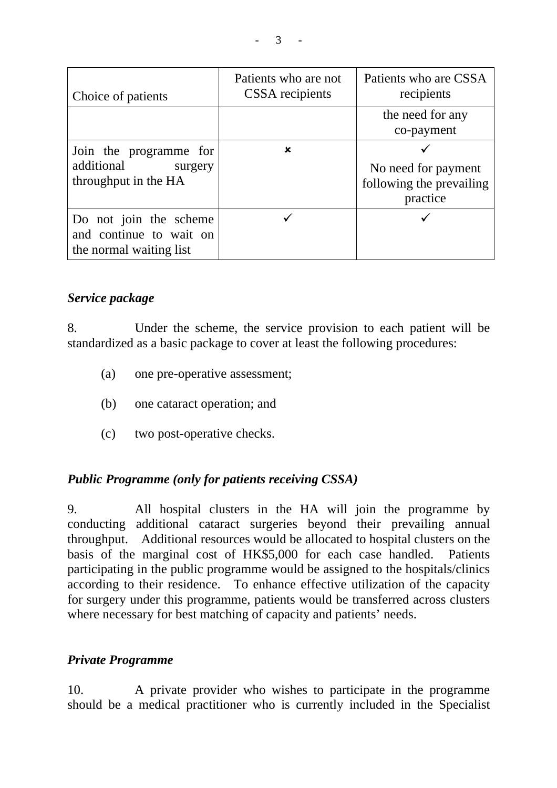| Choice of patients                                                           | Patients who are not<br>CSSA recipients | Patients who are CSSA<br>recipients                         |
|------------------------------------------------------------------------------|-----------------------------------------|-------------------------------------------------------------|
|                                                                              |                                         | the need for any<br>co-payment                              |
| Join the programme for<br>additional<br>surgery<br>throughput in the HA      | ×                                       | No need for payment<br>following the prevailing<br>practice |
| Do not join the scheme<br>and continue to wait on<br>the normal waiting list |                                         |                                                             |

### *Service package*

8. Under the scheme, the service provision to each patient will be standardized as a basic package to cover at least the following procedures:

- (a) one pre-operative assessment;
- (b) one cataract operation; and
- (c) two post-operative checks.

## *Public Programme (only for patients receiving CSSA)*

9. All hospital clusters in the HA will join the programme by conducting additional cataract surgeries beyond their prevailing annual throughput. Additional resources would be allocated to hospital clusters on the basis of the marginal cost of HK\$5,000 for each case handled. Patients participating in the public programme would be assigned to the hospitals/clinics according to their residence. To enhance effective utilization of the capacity for surgery under this programme, patients would be transferred across clusters where necessary for best matching of capacity and patients' needs.

### *Private Programme*

10. A private provider who wishes to participate in the programme should be a medical practitioner who is currently included in the Specialist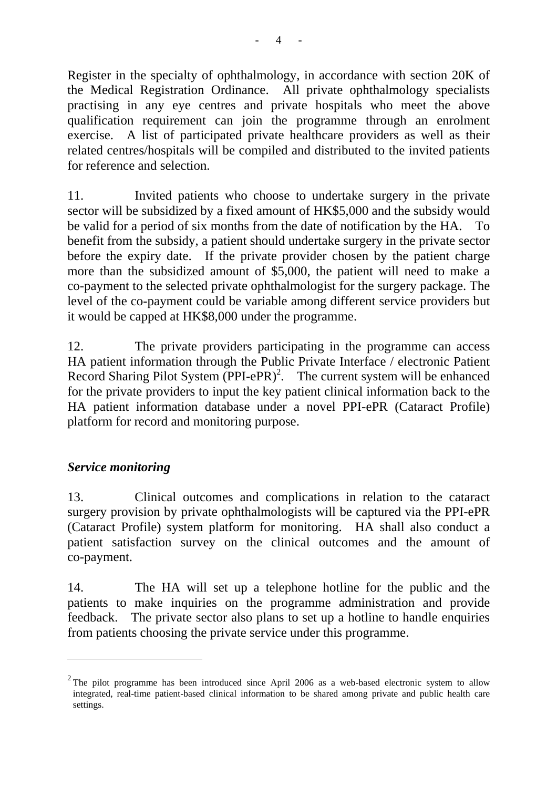Register in the specialty of ophthalmology, in accordance with section 20K of the Medical Registration Ordinance. All private ophthalmology specialists practising in any eye centres and private hospitals who meet the above qualification requirement can join the programme through an enrolment exercise. A list of participated private healthcare providers as well as their related centres/hospitals will be compiled and distributed to the invited patients for reference and selection.

11. Invited patients who choose to undertake surgery in the private sector will be subsidized by a fixed amount of HK\$5,000 and the subsidy would be valid for a period of six months from the date of notification by the HA. To benefit from the subsidy, a patient should undertake surgery in the private sector before the expiry date. If the private provider chosen by the patient charge more than the subsidized amount of \$5,000, the patient will need to make a co-payment to the selected private ophthalmologist for the surgery package. The level of the co-payment could be variable among different service providers but it would be capped at HK\$8,000 under the programme.

12. The private providers participating in the programme can access HA patient information through the Public Private Interface / electronic Patient Record Sharing Pilot System  $(PPI-ePR)^2$ . The current system will be enhanced for the private providers to input the key patient clinical information back to the HA patient information database under a novel PPI-ePR (Cataract Profile) platform for record and monitoring purpose.

## *Service monitoring*

 $\overline{a}$ 

13. Clinical outcomes and complications in relation to the cataract surgery provision by private ophthalmologists will be captured via the PPI-ePR (Cataract Profile) system platform for monitoring. HA shall also conduct a patient satisfaction survey on the clinical outcomes and the amount of co-payment.

14. The HA will set up a telephone hotline for the public and the patients to make inquiries on the programme administration and provide feedback. The private sector also plans to set up a hotline to handle enquiries from patients choosing the private service under this programme.

 $2$  The pilot programme has been introduced since April 2006 as a web-based electronic system to allow integrated, real-time patient-based clinical information to be shared among private and public health care settings.